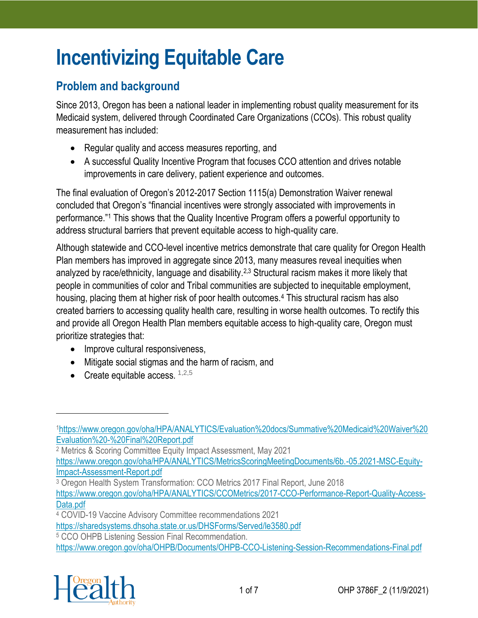# **Incentivizing Equitable Care**

# **Problem and background**

Since 2013, Oregon has been a national leader in implementing robust quality measurement for its Medicaid system, delivered through Coordinated Care Organizations (CCOs). This robust quality measurement has included:

- Regular quality and access measures reporting, and
- A successful Quality Incentive Program that focuses CCO attention and drives notable improvements in care delivery, patient experience and outcomes.

The final evaluation of Oregon's 2012-2017 Section 1115(a) Demonstration Waiver renewal concluded that Oregon's "financial incentives were strongly associated with improvements in performance."<sup>1</sup> This shows that the Quality Incentive Program offers a powerful opportunity to address structural barriers that prevent equitable access to high-quality care.

Although statewide and CCO-level incentive metrics demonstrate that care quality for Oregon Health Plan members has improved in aggregate since 2013, many measures reveal inequities when analyzed by race/ethnicity, language and disability.<sup>2,3</sup> Structural racism makes it more likely that people in communities of color and Tribal communities are subjected to inequitable employment, housing, placing them at higher risk of poor health outcomes.<sup>4</sup> This structural racism has also created barriers to accessing quality health care, resulting in worse health outcomes. To rectify this and provide all Oregon Health Plan members equitable access to high-quality care, Oregon must prioritize strategies that:

- Improve cultural responsiveness,
- Mitigate social stigmas and the harm of racism, and
- Create equitable access.  $1,2,5$

<sup>2</sup> Metrics & Scoring Committee Equity Impact Assessment, May 2021 [https://www.oregon.gov/oha/HPA/ANALYTICS/MetricsScoringMeetingDocuments/6b.-05.2021-MSC-Equity-](https://www.oregon.gov/oha/HPA/ANALYTICS/MetricsScoringMeetingDocuments/6b.-05.2021-MSC-Equity-Impact-Assessment-Report.pdf)

[Impact-Assessment-Report.pdf](https://www.oregon.gov/oha/HPA/ANALYTICS/MetricsScoringMeetingDocuments/6b.-05.2021-MSC-Equity-Impact-Assessment-Report.pdf)

<sup>3</sup> Oregon Health System Transformation: CCO Metrics 2017 Final Report, June 2018 [https://www.oregon.gov/oha/HPA/ANALYTICS/CCOMetrics/2017-CCO-Performance-Report-Quality-Access-](https://www.oregon.gov/oha/HPA/ANALYTICS/CCOMetrics/2017-CCO-Performance-Report-Quality-Access-Data.pdf)

[Data.pdf](https://www.oregon.gov/oha/HPA/ANALYTICS/CCOMetrics/2017-CCO-Performance-Report-Quality-Access-Data.pdf)

<https://www.oregon.gov/oha/OHPB/Documents/OHPB-CCO-Listening-Session-Recommendations-Final.pdf>



<sup>1</sup>[https://www.oregon.gov/oha/HPA/ANALYTICS/Evaluation%20docs/Summative%20Medicaid%20Waiver%20](https://www.oregon.gov/oha/HPA/ANALYTICS/Evaluation%20docs/Summative%20Medicaid%20Waiver%20Evaluation%20-%20Final%20Report.pdf) [Evaluation%20-%20Final%20Report.pdf](https://www.oregon.gov/oha/HPA/ANALYTICS/Evaluation%20docs/Summative%20Medicaid%20Waiver%20Evaluation%20-%20Final%20Report.pdf)

<sup>4</sup> COVID-19 Vaccine Advisory Committee recommendations 2021

<https://sharedsystems.dhsoha.state.or.us/DHSForms/Served/le3580.pdf>

<sup>5</sup> CCO OHPB Listening Session Final Recommendation.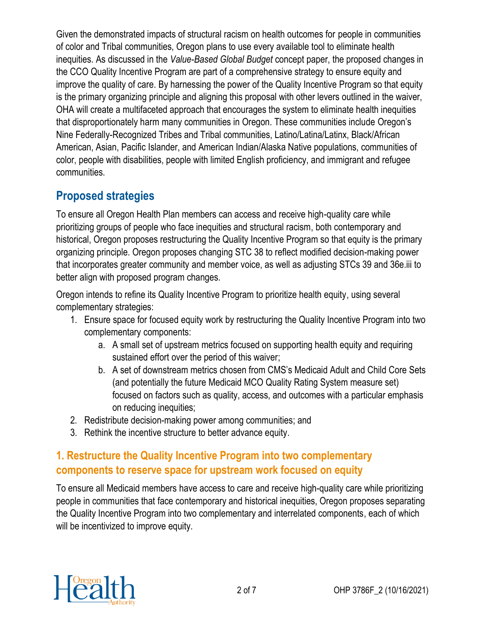Given the demonstrated impacts of structural racism on health outcomes for people in communities of color and Tribal communities, Oregon plans to use every available tool to eliminate health inequities. As discussed in the *Value-Based Global Budget* concept paper, the proposed changes in the CCO Quality Incentive Program are part of a comprehensive strategy to ensure equity and improve the quality of care. By harnessing the power of the Quality Incentive Program so that equity is the primary organizing principle and aligning this proposal with other levers outlined in the waiver, OHA will create a multifaceted approach that encourages the system to eliminate health inequities that disproportionately harm many communities in Oregon. These communities include Oregon's Nine Federally-Recognized Tribes and Tribal communities, Latino/Latina/Latinx, Black/African American, Asian, Pacific Islander, and American Indian/Alaska Native populations, communities of color, people with disabilities, people with limited English proficiency, and immigrant and refugee communities.

# **Proposed strategies**

To ensure all Oregon Health Plan members can access and receive high-quality care while prioritizing groups of people who face inequities and structural racism, both contemporary and historical, Oregon proposes restructuring the Quality Incentive Program so that equity is the primary organizing principle. Oregon proposes changing STC 38 to reflect modified decision-making power that incorporates greater community and member voice, as well as adjusting STCs 39 and 36e.iii to better align with proposed program changes.

Oregon intends to refine its Quality Incentive Program to prioritize health equity, using several complementary strategies:

- 1. Ensure space for focused equity work by restructuring the Quality Incentive Program into two complementary components:
	- a. A small set of upstream metrics focused on supporting health equity and requiring sustained effort over the period of this waiver;
	- b. A set of downstream metrics chosen from CMS's Medicaid Adult and Child Core Sets (and potentially the future Medicaid MCO Quality Rating System measure set) focused on factors such as quality, access, and outcomes with a particular emphasis on reducing inequities;
- 2. Redistribute decision-making power among communities; and
- 3. Rethink the incentive structure to better advance equity.

## **1. Restructure the Quality Incentive Program into two complementary components to reserve space for upstream work focused on equity**

To ensure all Medicaid members have access to care and receive high-quality care while prioritizing people in communities that face contemporary and historical inequities, Oregon proposes separating the Quality Incentive Program into two complementary and interrelated components, each of which will be incentivized to improve equity.

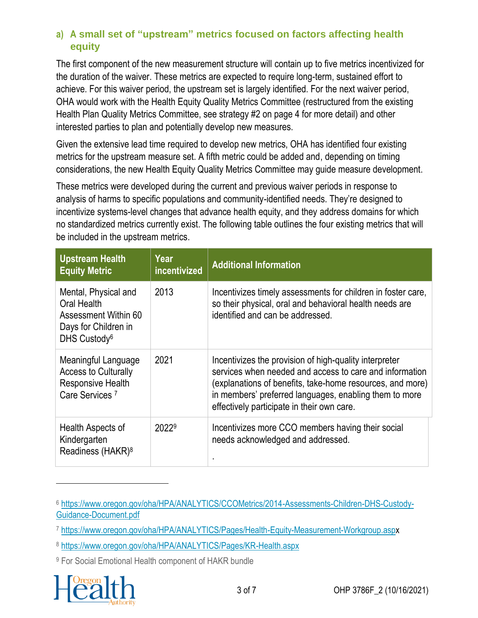### **a) A small set of "upstream" metrics focused on factors affecting health equity**

The first component of the new measurement structure will contain up to five metrics incentivized for the duration of the waiver. These metrics are expected to require long-term, sustained effort to achieve. For this waiver period, the upstream set is largely identified. For the next waiver period, OHA would work with the Health Equity Quality Metrics Committee (restructured from the existing Health Plan Quality Metrics Committee, see strategy #2 on page 4 for more detail) and other interested parties to plan and potentially develop new measures.

Given the extensive lead time required to develop new metrics, OHA has identified four existing metrics for the upstream measure set. A fifth metric could be added and, depending on timing considerations, the new Health Equity Quality Metrics Committee may guide measure development.

These metrics were developed during the current and previous waiver periods in response to analysis of harms to specific populations and community-identified needs. They're designed to incentivize systems-level changes that advance health equity, and they address domains for which no standardized metrics currently exist. The following table outlines the four existing metrics that will be included in the upstream metrics.

| <b>Upstream Health</b><br><b>Equity Metric</b>                                                                  | Year<br>incentivized | <b>Additional Information</b>                                                                                                                                                                                                                                                          |
|-----------------------------------------------------------------------------------------------------------------|----------------------|----------------------------------------------------------------------------------------------------------------------------------------------------------------------------------------------------------------------------------------------------------------------------------------|
| Mental, Physical and<br>Oral Health<br>Assessment Within 60<br>Days for Children in<br>DHS Custody <sup>6</sup> | 2013                 | Incentivizes timely assessments for children in foster care,<br>so their physical, oral and behavioral health needs are<br>identified and can be addressed.                                                                                                                            |
| Meaningful Language<br><b>Access to Culturally</b><br><b>Responsive Health</b><br>Care Services <sup>7</sup>    | 2021                 | Incentivizes the provision of high-quality interpreter<br>services when needed and access to care and information<br>(explanations of benefits, take-home resources, and more)<br>in members' preferred languages, enabling them to more<br>effectively participate in their own care. |
| Health Aspects of<br>Kindergarten<br>Readiness (HAKR) <sup>8</sup>                                              | 20229                | Incentivizes more CCO members having their social<br>needs acknowledged and addressed.                                                                                                                                                                                                 |

<sup>9</sup> For Social Emotional Health component of HAKR bundle



<sup>6</sup> [https://www.oregon.gov/oha/HPA/ANALYTICS/CCOMetrics/2014-Assessments-Children-DHS-Custody-](https://www.oregon.gov/oha/HPA/ANALYTICS/CCOMetrics/2014-Assessments-Children-DHS-Custody-Guidance-Document.pdf)[Guidance-Document.pdf](https://www.oregon.gov/oha/HPA/ANALYTICS/CCOMetrics/2014-Assessments-Children-DHS-Custody-Guidance-Document.pdf)

<sup>7</sup> <https://www.oregon.gov/oha/HPA/ANALYTICS/Pages/Health-Equity-Measurement-Workgroup.aspx>

<sup>8</sup> <https://www.oregon.gov/oha/HPA/ANALYTICS/Pages/KR-Health.aspx>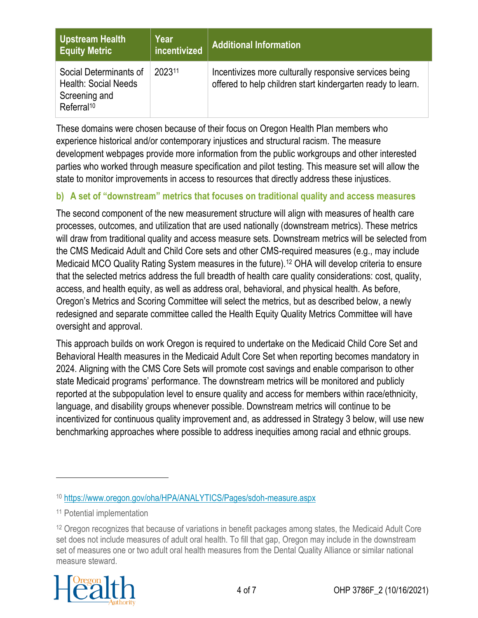| Upstream Health<br><b>Equity Metric</b>                                                          | Year<br>incentivized | <b>Additional Information</b>                                                                                         |  |
|--------------------------------------------------------------------------------------------------|----------------------|-----------------------------------------------------------------------------------------------------------------------|--|
| Social Determinants of<br><b>Health: Social Needs</b><br>Screening and<br>Referral <sup>10</sup> | 202311               | Incentivizes more culturally responsive services being<br>offered to help children start kindergarten ready to learn. |  |

These domains were chosen because of their focus on Oregon Health Plan members who experience historical and/or contemporary injustices and structural racism. The measure development webpages provide more information from the public workgroups and other interested parties who worked through measure specification and pilot testing. This measure set will allow the state to monitor improvements in access to resources that directly address these injustices.

#### **b) A set of "downstream" metrics that focuses on traditional quality and access measures**

The second component of the new measurement structure will align with measures of health care processes, outcomes, and utilization that are used nationally (downstream metrics). These metrics will draw from traditional quality and access measure sets. Downstream metrics will be selected from the CMS Medicaid Adult and Child Core sets and other CMS-required measures (e.g., may include Medicaid MCO Quality Rating System measures in the future).<sup>12</sup> OHA will develop criteria to ensure that the selected metrics address the full breadth of health care quality considerations: cost, quality, access, and health equity, as well as address oral, behavioral, and physical health. As before, Oregon's Metrics and Scoring Committee will select the metrics, but as described below, a newly redesigned and separate committee called the Health Equity Quality Metrics Committee will have oversight and approval.

This approach builds on work Oregon is required to undertake on the Medicaid Child Core Set and Behavioral Health measures in the Medicaid Adult Core Set when reporting becomes mandatory in 2024. Aligning with the CMS Core Sets will promote cost savings and enable comparison to other state Medicaid programs' performance. The downstream metrics will be monitored and publicly reported at the subpopulation level to ensure quality and access for members within race/ethnicity, language, and disability groups whenever possible. Downstream metrics will continue to be incentivized for continuous quality improvement and, as addressed in Strategy 3 below, will use new benchmarking approaches where possible to address inequities among racial and ethnic groups.

<sup>&</sup>lt;sup>12</sup> Oregon recognizes that because of variations in benefit packages among states, the Medicaid Adult Core set does not include measures of adult oral health. To fill that gap, Oregon may include in the downstream set of measures one or two adult oral health measures from the Dental Quality Alliance or similar national measure steward.



<sup>10</sup> <https://www.oregon.gov/oha/HPA/ANALYTICS/Pages/sdoh-measure.aspx>

<sup>11</sup> Potential implementation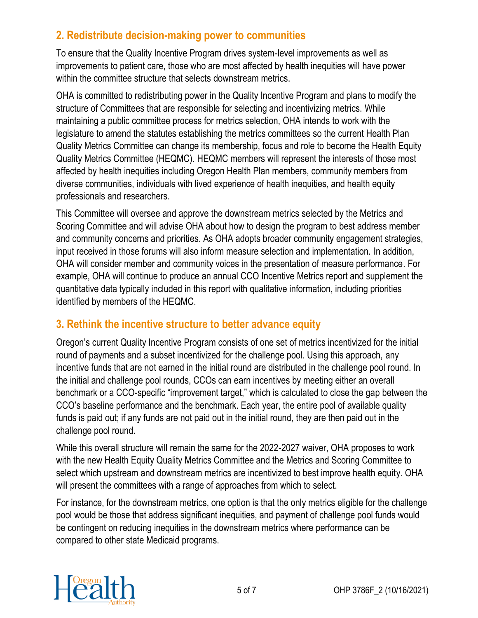## **2. Redistribute decision-making power to communities**

To ensure that the Quality Incentive Program drives system-level improvements as well as improvements to patient care, those who are most affected by health inequities will have power within the committee structure that selects downstream metrics.

OHA is committed to redistributing power in the Quality Incentive Program and plans to modify the structure of Committees that are responsible for selecting and incentivizing metrics. While maintaining a public committee process for metrics selection, OHA intends to work with the legislature to amend the statutes establishing the metrics committees so the current Health Plan Quality Metrics Committee can change its membership, focus and role to become the Health Equity Quality Metrics Committee (HEQMC). HEQMC members will represent the interests of those most affected by health inequities including Oregon Health Plan members, community members from diverse communities, individuals with lived experience of health inequities, and health equity professionals and researchers.

This Committee will oversee and approve the downstream metrics selected by the Metrics and Scoring Committee and will advise OHA about how to design the program to best address member and community concerns and priorities. As OHA adopts broader community engagement strategies, input received in those forums will also inform measure selection and implementation. In addition, OHA will consider member and community voices in the presentation of measure performance. For example, OHA will continue to produce an annual CCO Incentive Metrics report and supplement the quantitative data typically included in this report with qualitative information, including priorities identified by members of the HEQMC.

## **3. Rethink the incentive structure to better advance equity**

Oregon's current Quality Incentive Program consists of one set of metrics incentivized for the initial round of payments and a subset incentivized for the challenge pool. Using this approach, any incentive funds that are not earned in the initial round are distributed in the challenge pool round. In the initial and challenge pool rounds, CCOs can earn incentives by meeting either an overall benchmark or a CCO-specific "improvement target," which is calculated to close the gap between the CCO's baseline performance and the benchmark. Each year, the entire pool of available quality funds is paid out; if any funds are not paid out in the initial round, they are then paid out in the challenge pool round.

While this overall structure will remain the same for the 2022-2027 waiver, OHA proposes to work with the new Health Equity Quality Metrics Committee and the Metrics and Scoring Committee to select which upstream and downstream metrics are incentivized to best improve health equity. OHA will present the committees with a range of approaches from which to select.

For instance, for the downstream metrics, one option is that the only metrics eligible for the challenge pool would be those that address significant inequities, and payment of challenge pool funds would be contingent on reducing inequities in the downstream metrics where performance can be compared to other state Medicaid programs.

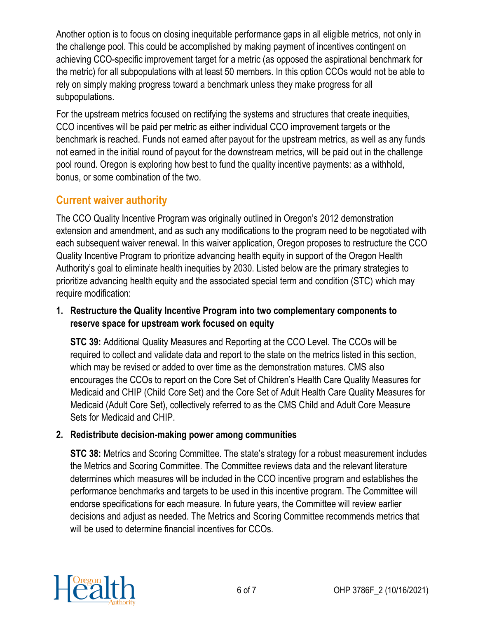Another option is to focus on closing inequitable performance gaps in all eligible metrics, not only in the challenge pool. This could be accomplished by making payment of incentives contingent on achieving CCO-specific improvement target for a metric (as opposed the aspirational benchmark for the metric) for all subpopulations with at least 50 members. In this option CCOs would not be able to rely on simply making progress toward a benchmark unless they make progress for all subpopulations.

For the upstream metrics focused on rectifying the systems and structures that create inequities, CCO incentives will be paid per metric as either individual CCO improvement targets or the benchmark is reached. Funds not earned after payout for the upstream metrics, as well as any funds not earned in the initial round of payout for the downstream metrics, will be paid out in the challenge pool round. Oregon is exploring how best to fund the quality incentive payments: as a withhold, bonus, or some combination of the two.

## **Current waiver authority**

The CCO Quality Incentive Program was originally outlined in Oregon's 2012 demonstration extension and amendment, and as such any modifications to the program need to be negotiated with each subsequent waiver renewal. In this waiver application, Oregon proposes to restructure the CCO Quality Incentive Program to prioritize advancing health equity in support of the Oregon Health Authority's goal to eliminate health inequities by 2030. Listed below are the primary strategies to prioritize advancing health equity and the associated special term and condition (STC) which may require modification:

#### **1. Restructure the Quality Incentive Program into two complementary components to reserve space for upstream work focused on equity**

**STC 39:** Additional Quality Measures and Reporting at the CCO Level. The CCOs will be required to collect and validate data and report to the state on the metrics listed in this section, which may be revised or added to over time as the demonstration matures. CMS also encourages the CCOs to report on the Core Set of Children's Health Care Quality Measures for Medicaid and CHIP (Child Core Set) and the Core Set of Adult Health Care Quality Measures for Medicaid (Adult Core Set), collectively referred to as the CMS Child and Adult Core Measure Sets for Medicaid and CHIP.

#### **2. Redistribute decision-making power among communities**

**STC 38:** Metrics and Scoring Committee. The state's strategy for a robust measurement includes the Metrics and Scoring Committee. The Committee reviews data and the relevant literature determines which measures will be included in the CCO incentive program and establishes the performance benchmarks and targets to be used in this incentive program. The Committee will endorse specifications for each measure. In future years, the Committee will review earlier decisions and adjust as needed. The Metrics and Scoring Committee recommends metrics that will be used to determine financial incentives for CCOs.